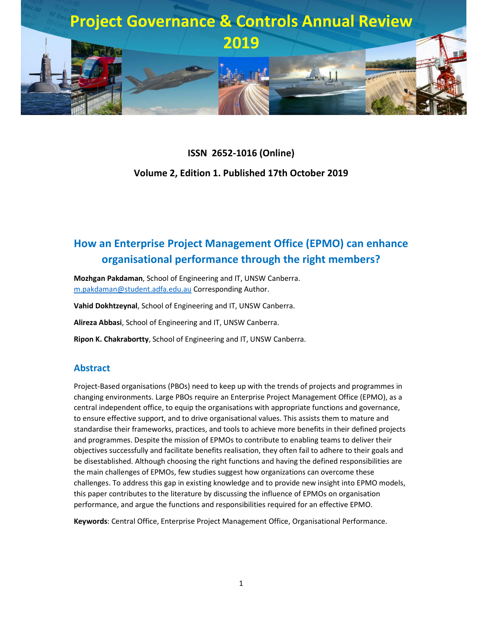

# **ISSN 2652-1016 (Online) Volume 2, Edition 1. Published 17th October 2019**

## **How an Enterprise Project Management Office (EPMO) can enhance organisational performance through the right members?**

**Mozhgan Pakdaman**, School of Engineering and IT, UNSW Canberra. m.pakdaman@student.adfa.edu.au Corresponding Author.

**Vahid Dokhtzeynal**, School of Engineering and IT, UNSW Canberra.

**Alireza Abbasi**, School of Engineering and IT, UNSW Canberra.

**Ripon K. Chakrabortty**, School of Engineering and IT, UNSW Canberra.

#### **Abstract**

Project-Based organisations (PBOs) need to keep up with the trends of projects and programmes in changing environments. Large PBOs require an Enterprise Project Management Office (EPMO), as a central independent office, to equip the organisations with appropriate functions and governance, to ensure effective support, and to drive organisational values. This assists them to mature and standardise their frameworks, practices, and tools to achieve more benefits in their defined projects and programmes. Despite the mission of EPMOs to contribute to enabling teams to deliver their objectives successfully and facilitate benefits realisation, they often fail to adhere to their goals and be disestablished. Although choosing the right functions and having the defined responsibilities are the main challenges of EPMOs, few studies suggest how organizations can overcome these challenges. To address this gap in existing knowledge and to provide new insight into EPMO models, this paper contributes to the literature by discussing the influence of EPMOs on organisation performance, and argue the functions and responsibilities required for an effective EPMO.

**Keywords**: Central Office, Enterprise Project Management Office, Organisational Performance.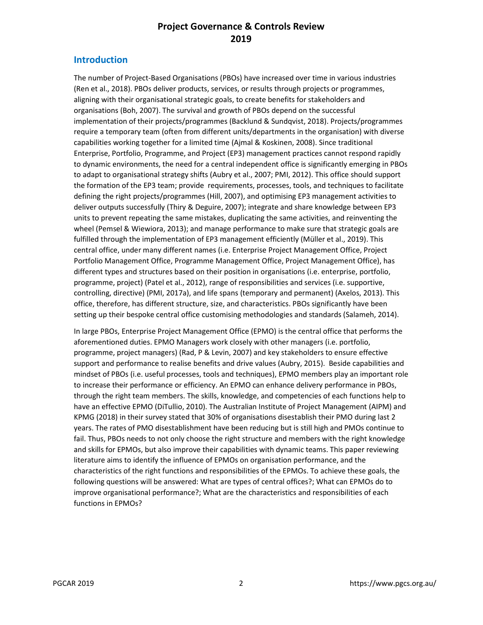#### **Introduction**

The number of Project-Based Organisations (PBOs) have increased over time in various industries (Ren et al., 2018). PBOs deliver products, services, or results through projects or programmes, aligning with their organisational strategic goals, to create benefits for stakeholders and organisations (Boh, 2007). The survival and growth of PBOs depend on the successful implementation of their projects/programmes (Backlund & Sundqvist, 2018). Projects/programmes require a temporary team (often from different units/departments in the organisation) with diverse capabilities working together for a limited time (Ajmal & Koskinen, 2008). Since traditional Enterprise, Portfolio, Programme, and Project (EP3) management practices cannot respond rapidly to dynamic environments, the need for a central independent office is significantly emerging in PBOs to adapt to organisational strategy shifts (Aubry et al., 2007; PMI, 2012). This office should support the formation of the EP3 team; provide requirements, processes, tools, and techniques to facilitate defining the right projects/programmes (Hill, 2007), and optimising EP3 management activities to deliver outputs successfully (Thiry & Deguire, 2007); integrate and share knowledge between EP3 units to prevent repeating the same mistakes, duplicating the same activities, and reinventing the wheel (Pemsel & Wiewiora, 2013); and manage performance to make sure that strategic goals are fulfilled through the implementation of EP3 management efficiently (Müller et al., 2019). This central office, under many different names (i.e. Enterprise Project Management Office, Project Portfolio Management Office, Programme Management Office, Project Management Office), has different types and structures based on their position in organisations (i.e. enterprise, portfolio, programme, project) (Patel et al., 2012), range of responsibilities and services (i.e. supportive, controlling, directive) (PMI, 2017a), and life spans (temporary and permanent) (Axelos, 2013). This office, therefore, has different structure, size, and characteristics. PBOs significantly have been setting up their bespoke central office customising methodologies and standards (Salameh, 2014).

In large PBOs, Enterprise Project Management Office (EPMO) is the central office that performs the aforementioned duties. EPMO Managers work closely with other managers (i.e. portfolio, programme, project managers) (Rad, P & Levin, 2007) and key stakeholders to ensure effective support and performance to realise benefits and drive values (Aubry, 2015). Beside capabilities and mindset of PBOs (i.e. useful processes, tools and techniques), EPMO members play an important role to increase their performance or efficiency. An EPMO can enhance delivery performance in PBOs, through the right team members. The skills, knowledge, and competencies of each functions help to have an effective EPMO (DiTullio, 2010). The Australian Institute of Project Management (AIPM) and KPMG (2018) in their survey stated that 30% of organisations disestablish their PMO during last 2 years. The rates of PMO disestablishment have been reducing but is still high and PMOs continue to fail. Thus, PBOs needs to not only choose the right structure and members with the right knowledge and skills for EPMOs, but also improve their capabilities with dynamic teams. This paper reviewing literature aims to identify the influence of EPMOs on organisation performance, and the characteristics of the right functions and responsibilities of the EPMOs. To achieve these goals, the following questions will be answered: What are types of central offices?; What can EPMOs do to improve organisational performance?; What are the characteristics and responsibilities of each functions in EPMOs?

PGCAR 2019 2 https://www.pgcs.org.au/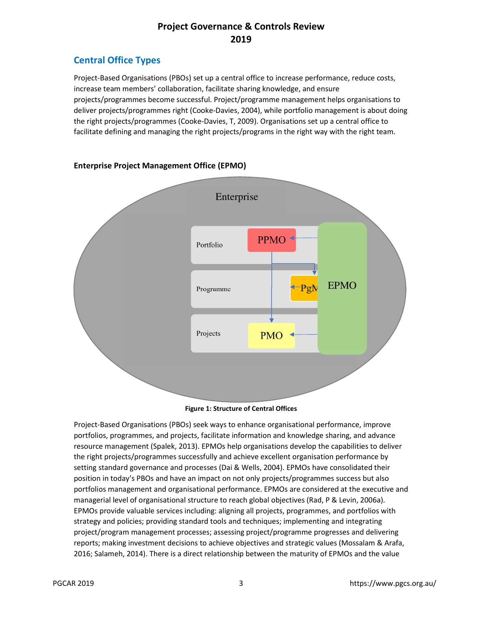## **Central Office Types**

Project-Based Organisations (PBOs) set up a central office to increase performance, reduce costs, increase team members' collaboration, facilitate sharing knowledge, and ensure projects/programmes become successful. Project/programme management helps organisations to deliver projects/programmes right (Cooke-Davies, 2004), while portfolio management is about doing the right projects/programmes (Cooke-Davies, T, 2009). Organisations set up a central office to facilitate defining and managing the right projects/programs in the right way with the right team.



#### **Enterprise Project Management Office (EPMO)**

**Figure 1: Structure of Central Offices** 

Project-Based Organisations (PBOs) seek ways to enhance organisational performance, improve portfolios, programmes, and projects, facilitate information and knowledge sharing, and advance resource management (Spalek, 2013). EPMOs help organisations develop the capabilities to deliver the right projects/programmes successfully and achieve excellent organisation performance by setting standard governance and processes (Dai & Wells, 2004). EPMOs have consolidated their position in today's PBOs and have an impact on not only projects/programmes success but also portfolios management and organisational performance. EPMOs are considered at the executive and managerial level of organisational structure to reach global objectives (Rad, P & Levin, 2006a). EPMOs provide valuable services including: aligning all projects, programmes, and portfolios with strategy and policies; providing standard tools and techniques; implementing and integrating project/program management processes; assessing project/programme progresses and delivering reports; making investment decisions to achieve objectives and strategic values (Mossalam & Arafa, 2016; Salameh, 2014). There is a direct relationship between the maturity of EPMOs and the value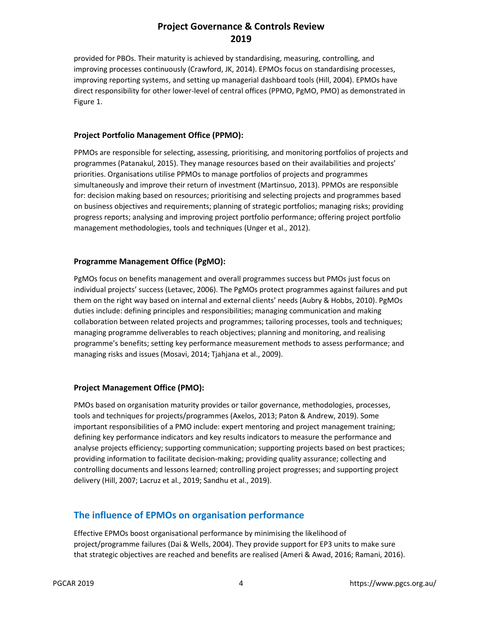provided for PBOs. Their maturity is achieved by standardising, measuring, controlling, and improving processes continuously (Crawford, JK, 2014). EPMOs focus on standardising processes, improving reporting systems, and setting up managerial dashboard tools (Hill, 2004). EPMOs have direct responsibility for other lower-level of central offices (PPMO, PgMO, PMO) as demonstrated in Figure 1.

#### **Project Portfolio Management Office (PPMO):**

PPMOs are responsible for selecting, assessing, prioritising, and monitoring portfolios of projects and programmes (Patanakul, 2015). They manage resources based on their availabilities and projects' priorities. Organisations utilise PPMOs to manage portfolios of projects and programmes simultaneously and improve their return of investment (Martinsuo, 2013). PPMOs are responsible for: decision making based on resources; prioritising and selecting projects and programmes based on business objectives and requirements; planning of strategic portfolios; managing risks; providing progress reports; analysing and improving project portfolio performance; offering project portfolio management methodologies, tools and techniques (Unger et al., 2012).

#### **Programme Management Office (PgMO):**

PgMOs focus on benefits management and overall programmes success but PMOs just focus on individual projects' success (Letavec, 2006). The PgMOs protect programmes against failures and put them on the right way based on internal and external clients' needs (Aubry & Hobbs, 2010). PgMOs duties include: defining principles and responsibilities; managing communication and making collaboration between related projects and programmes; tailoring processes, tools and techniques; managing programme deliverables to reach objectives; planning and monitoring, and realising programme's benefits; setting key performance measurement methods to assess performance; and managing risks and issues (Mosavi, 2014; Tjahjana et al., 2009).

#### **Project Management Office (PMO):**

PMOs based on organisation maturity provides or tailor governance, methodologies, processes, tools and techniques for projects/programmes (Axelos, 2013; Paton & Andrew, 2019). Some important responsibilities of a PMO include: expert mentoring and project management training; defining key performance indicators and key results indicators to measure the performance and analyse projects efficiency; supporting communication; supporting projects based on best practices; providing information to facilitate decision-making; providing quality assurance; collecting and controlling documents and lessons learned; controlling project progresses; and supporting project delivery (Hill, 2007; Lacruz et al., 2019; Sandhu et al., 2019).

#### **The influence of EPMOs on organisation performance**

Effective EPMOs boost organisational performance by minimising the likelihood of project/programme failures (Dai & Wells, 2004). They provide support for EP3 units to make sure that strategic objectives are reached and benefits are realised (Ameri & Awad, 2016; Ramani, 2016).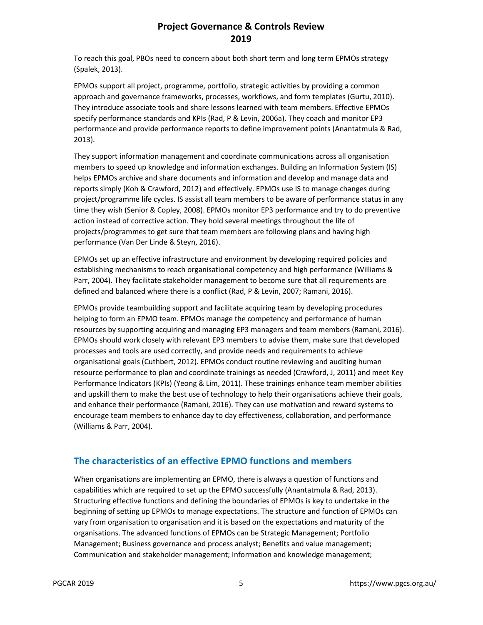To reach this goal, PBOs need to concern about both short term and long term EPMOs strategy (Spalek, 2013).

EPMOs support all project, programme, portfolio, strategic activities by providing a common approach and governance frameworks, processes, workflows, and form templates (Gurtu, 2010). They introduce associate tools and share lessons learned with team members. Effective EPMOs specify performance standards and KPIs (Rad, P & Levin, 2006a). They coach and monitor EP3 performance and provide performance reports to define improvement points (Anantatmula & Rad, 2013).

They support information management and coordinate communications across all organisation members to speed up knowledge and information exchanges. Building an Information System (IS) helps EPMOs archive and share documents and information and develop and manage data and reports simply (Koh & Crawford, 2012) and effectively. EPMOs use IS to manage changes during project/programme life cycles. IS assist all team members to be aware of performance status in any time they wish (Senior & Copley, 2008). EPMOs monitor EP3 performance and try to do preventive action instead of corrective action. They hold several meetings throughout the life of projects/programmes to get sure that team members are following plans and having high performance (Van Der Linde & Steyn, 2016).

EPMOs set up an effective infrastructure and environment by developing required policies and establishing mechanisms to reach organisational competency and high performance (Williams & Parr, 2004). They facilitate stakeholder management to become sure that all requirements are defined and balanced where there is a conflict (Rad, P & Levin, 2007; Ramani, 2016).

EPMOs provide teambuilding support and facilitate acquiring team by developing procedures helping to form an EPMO team. EPMOs manage the competency and performance of human resources by supporting acquiring and managing EP3 managers and team members (Ramani, 2016). EPMOs should work closely with relevant EP3 members to advise them, make sure that developed processes and tools are used correctly, and provide needs and requirements to achieve organisational goals (Cuthbert, 2012). EPMOs conduct routine reviewing and auditing human resource performance to plan and coordinate trainings as needed (Crawford, J, 2011) and meet Key Performance Indicators (KPIs) (Yeong & Lim, 2011). These trainings enhance team member abilities and upskill them to make the best use of technology to help their organisations achieve their goals, and enhance their performance (Ramani, 2016). They can use motivation and reward systems to encourage team members to enhance day to day effectiveness, collaboration, and performance (Williams & Parr, 2004).

## **The characteristics of an effective EPMO functions and members**

When organisations are implementing an EPMO, there is always a question of functions and capabilities which are required to set up the EPMO successfully (Anantatmula & Rad, 2013). Structuring effective functions and defining the boundaries of EPMOs is key to undertake in the beginning of setting up EPMOs to manage expectations. The structure and function of EPMOs can vary from organisation to organisation and it is based on the expectations and maturity of the organisations. The advanced functions of EPMOs can be Strategic Management; Portfolio Management; Business governance and process analyst; Benefits and value management; Communication and stakeholder management; Information and knowledge management;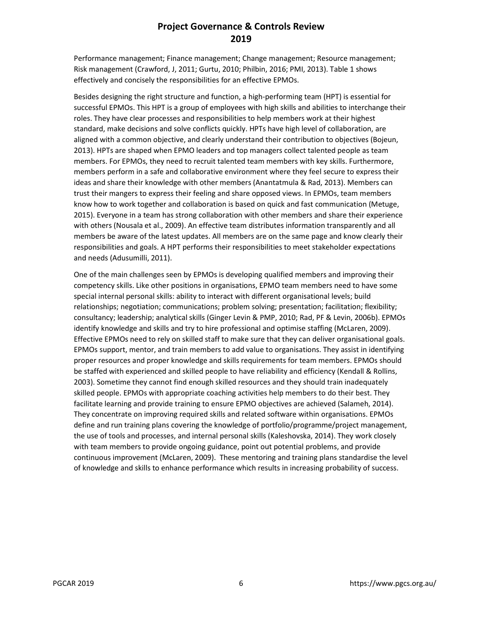Performance management; Finance management; Change management; Resource management; Risk management (Crawford, J, 2011; Gurtu, 2010; Philbin, 2016; PMI, 2013). Table 1 shows effectively and concisely the responsibilities for an effective EPMOs.

Besides designing the right structure and function, a high-performing team (HPT) is essential for successful EPMOs. This HPT is a group of employees with high skills and abilities to interchange their roles. They have clear processes and responsibilities to help members work at their highest standard, make decisions and solve conflicts quickly. HPTs have high level of collaboration, are aligned with a common objective, and clearly understand their contribution to objectives (Bojeun, 2013). HPTs are shaped when EPMO leaders and top managers collect talented people as team members. For EPMOs, they need to recruit talented team members with key skills. Furthermore, members perform in a safe and collaborative environment where they feel secure to express their ideas and share their knowledge with other members (Anantatmula & Rad, 2013). Members can trust their mangers to express their feeling and share opposed views. In EPMOs, team members know how to work together and collaboration is based on quick and fast communication (Metuge, 2015). Everyone in a team has strong collaboration with other members and share their experience with others (Nousala et al., 2009). An effective team distributes information transparently and all members be aware of the latest updates. All members are on the same page and know clearly their responsibilities and goals. A HPT performs their responsibilities to meet stakeholder expectations and needs (Adusumilli, 2011).

One of the main challenges seen by EPMOs is developing qualified members and improving their competency skills. Like other positions in organisations, EPMO team members need to have some special internal personal skills: ability to interact with different organisational levels; build relationships; negotiation; communications; problem solving; presentation; facilitation; flexibility; consultancy; leadership; analytical skills (Ginger Levin & PMP, 2010; Rad, PF & Levin, 2006b). EPMOs identify knowledge and skills and try to hire professional and optimise staffing (McLaren, 2009). Effective EPMOs need to rely on skilled staff to make sure that they can deliver organisational goals. EPMOs support, mentor, and train members to add value to organisations. They assist in identifying proper resources and proper knowledge and skills requirements for team members. EPMOs should be staffed with experienced and skilled people to have reliability and efficiency (Kendall & Rollins, 2003). Sometime they cannot find enough skilled resources and they should train inadequately skilled people. EPMOs with appropriate coaching activities help members to do their best. They facilitate learning and provide training to ensure EPMO objectives are achieved (Salameh, 2014). They concentrate on improving required skills and related software within organisations. EPMOs define and run training plans covering the knowledge of portfolio/programme/project management, the use of tools and processes, and internal personal skills (Kaleshovska, 2014). They work closely with team members to provide ongoing guidance, point out potential problems, and provide continuous improvement (McLaren, 2009). These mentoring and training plans standardise the level of knowledge and skills to enhance performance which results in increasing probability of success.

PGCAR 2019 **6** https://www.pgcs.org.au/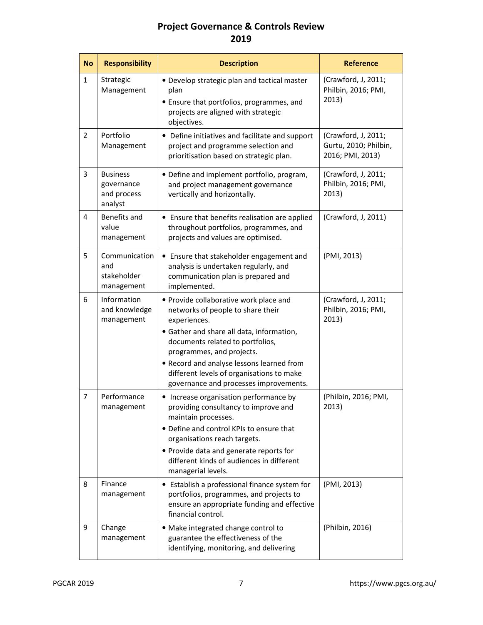| <b>No</b>      | <b>Responsibility</b>                                   | <b>Description</b>                                                                                                                                                                                                                                                                                                                            | <b>Reference</b>                                                 |
|----------------|---------------------------------------------------------|-----------------------------------------------------------------------------------------------------------------------------------------------------------------------------------------------------------------------------------------------------------------------------------------------------------------------------------------------|------------------------------------------------------------------|
| $\mathbf{1}$   | Strategic<br>Management                                 | • Develop strategic plan and tactical master<br>plan<br>• Ensure that portfolios, programmes, and<br>projects are aligned with strategic<br>objectives.                                                                                                                                                                                       | (Crawford, J, 2011;<br>Philbin, 2016; PMI,<br>2013)              |
| $\overline{2}$ | Portfolio<br>Management                                 | • Define initiatives and facilitate and support<br>project and programme selection and<br>prioritisation based on strategic plan.                                                                                                                                                                                                             | (Crawford, J, 2011;<br>Gurtu, 2010; Philbin,<br>2016; PMI, 2013) |
| 3              | <b>Business</b><br>governance<br>and process<br>analyst | · Define and implement portfolio, program,<br>and project management governance<br>vertically and horizontally.                                                                                                                                                                                                                               | (Crawford, J, 2011;<br>Philbin, 2016; PMI,<br>2013)              |
| $\overline{4}$ | Benefits and<br>value<br>management                     | • Ensure that benefits realisation are applied<br>throughout portfolios, programmes, and<br>projects and values are optimised.                                                                                                                                                                                                                | (Crawford, J, 2011)                                              |
| 5              | Communication<br>and<br>stakeholder<br>management       | • Ensure that stakeholder engagement and<br>analysis is undertaken regularly, and<br>communication plan is prepared and<br>implemented.                                                                                                                                                                                                       | (PMI, 2013)                                                      |
| 6              | Information<br>and knowledge<br>management              | • Provide collaborative work place and<br>networks of people to share their<br>experiences.<br>• Gather and share all data, information,<br>documents related to portfolios,<br>programmes, and projects.<br>• Record and analyse lessons learned from<br>different levels of organisations to make<br>governance and processes improvements. | (Crawford, J, 2011;<br>Philbin, 2016; PMI,<br>2013)              |
| $\overline{7}$ | Performance<br>management                               | • Increase organisation performance by<br>providing consultancy to improve and<br>maintain processes.<br>• Define and control KPIs to ensure that<br>organisations reach targets.<br>• Provide data and generate reports for<br>different kinds of audiences in different<br>managerial levels.                                               | (Philbin, 2016; PMI,<br>2013)                                    |
| 8              | Finance<br>management                                   | • Establish a professional finance system for<br>portfolios, programmes, and projects to<br>ensure an appropriate funding and effective<br>financial control.                                                                                                                                                                                 | (PMI, 2013)                                                      |
| 9              | Change<br>management                                    | • Make integrated change control to<br>guarantee the effectiveness of the<br>identifying, monitoring, and delivering                                                                                                                                                                                                                          | (Philbin, 2016)                                                  |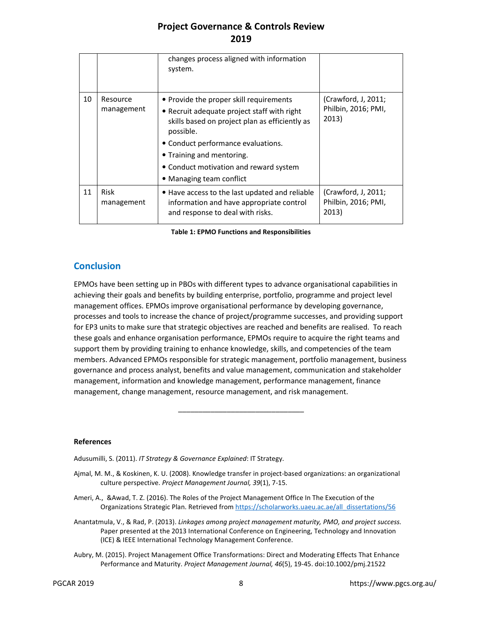|    |                        | changes process aligned with information<br>system.                                                                                                                                                                                                                                            |                                                     |
|----|------------------------|------------------------------------------------------------------------------------------------------------------------------------------------------------------------------------------------------------------------------------------------------------------------------------------------|-----------------------------------------------------|
| 10 | Resource<br>management | • Provide the proper skill requirements<br>• Recruit adequate project staff with right<br>skills based on project plan as efficiently as<br>possible.<br>• Conduct performance evaluations.<br>• Training and mentoring.<br>• Conduct motivation and reward system<br>• Managing team conflict | (Crawford, J, 2011;<br>Philbin, 2016; PMI,<br>2013) |
| 11 | Risk<br>management     | . Have access to the last updated and reliable<br>information and have appropriate control<br>and response to deal with risks.                                                                                                                                                                 | (Crawford, J, 2011;<br>Philbin, 2016; PMI,<br>2013) |

**Table 1: EPMO Functions and Responsibilities** 

#### **Conclusion**

EPMOs have been setting up in PBOs with different types to advance organisational capabilities in achieving their goals and benefits by building enterprise, portfolio, programme and project level management offices. EPMOs improve organisational performance by developing governance, processes and tools to increase the chance of project/programme successes, and providing support for EP3 units to make sure that strategic objectives are reached and benefits are realised. To reach these goals and enhance organisation performance, EPMOs require to acquire the right teams and support them by providing training to enhance knowledge, skills, and competencies of the team members. Advanced EPMOs responsible for strategic management, portfolio management, business governance and process analyst, benefits and value management, communication and stakeholder management, information and knowledge management, performance management, finance management, change management, resource management, and risk management.

\_\_\_\_\_\_\_\_\_\_\_\_\_\_\_\_\_\_\_\_\_\_\_\_\_\_\_\_\_\_\_

#### **References**

Adusumilli, S. (2011). *IT Strategy & Governance Explained*: IT Strategy.

- Ajmal, M. M., & Koskinen, K. U. (2008). Knowledge transfer in project-based organizations: an organizational culture perspective. *Project Management Journal, 39*(1), 7-15.
- Ameri, A., & Awad, T. Z. (2016). The Roles of the Project Management Office In The Execution of the Organizations Strategic Plan. Retrieved from https://scholarworks.uaeu.ac.ae/all\_dissertations/56
- Anantatmula, V., & Rad, P. (2013). *Linkages among project management maturity, PMO, and project success.* Paper presented at the 2013 International Conference on Engineering, Technology and Innovation (ICE) & IEEE International Technology Management Conference.
- Aubry, M. (2015). Project Management Office Transformations: Direct and Moderating Effects That Enhance Performance and Maturity. *Project Management Journal, 46*(5), 19-45. doi:10.1002/pmj.21522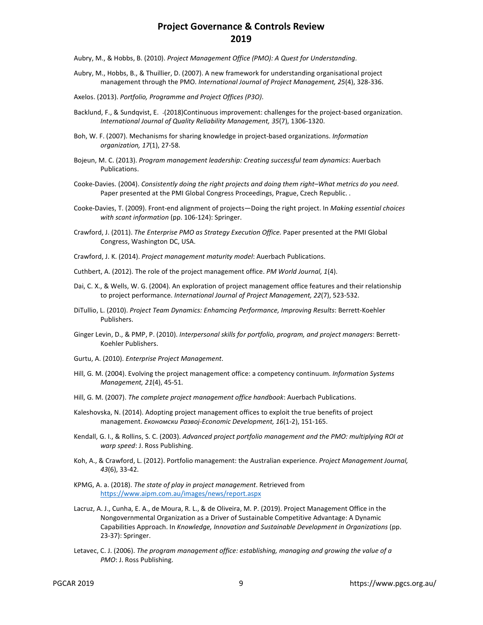Aubry, M., & Hobbs, B. (2010). *Project Management Office (PMO): A Quest for Understanding*.

- Aubry, M., Hobbs, B., & Thuillier, D. (2007). A new framework for understanding organisational project management through the PMO. *International Journal of Project Management, 25*(4), 328-336.
- Axelos. (2013). *Portfolio, Programme and Project Offices (P3O)*.
- Backlund, F., & Sundqvist, E. (2018)Continuous improvement: challenges for the project-based organization. *International Journal of Quality Reliability Management, 35*(7), 1306-1320.
- Boh, W. F. (2007). Mechanisms for sharing knowledge in project-based organizations. *Information organization, 17*(1), 27-58.
- Bojeun, M. C. (2013). *Program management leadership: Creating successful team dynamics*: Auerbach Publications.
- Cooke-Davies. (2004). *Consistently doing the right projects and doing them right–What metrics do you need*. Paper presented at the PMI Global Congress Proceedings, Prague, Czech Republic. .
- Cooke-Davies, T. (2009). Front-end alignment of projects—Doing the right project. In *Making essential choices with scant information* (pp. 106-124): Springer.
- Crawford, J. (2011). *The Enterprise PMO as Strategy Execution Office.* Paper presented at the PMI Global Congress, Washington DC, USA.
- Crawford, J. K. (2014). *Project management maturity model*: Auerbach Publications.
- Cuthbert, A. (2012). The role of the project management office. *PM World Journal, 1*(4).
- Dai, C. X., & Wells, W. G. (2004). An exploration of project management office features and their relationship to project performance. *International Journal of Project Management, 22*(7), 523-532.
- DiTullio, L. (2010). *Project Team Dynamics: Enhamcing Performance, Improving Results*: Berrett-Koehler Publishers.
- Ginger Levin, D., & PMP, P. (2010). *Interpersonal skills for portfolio, program, and project managers*: Berrett-Koehler Publishers.
- Gurtu, A. (2010). *Enterprise Project Management*.
- Hill, G. M. (2004). Evolving the project management office: a competency continuum. *Information Systems Management, 21*(4), 45-51.
- Hill, G. M. (2007). *The complete project management office handbook*: Auerbach Publications.
- Kaleshovska, N. (2014). Adopting project management offices to exploit the true benefits of project management. *Економски Развој-Economic Development, 16*(1-2), 151-165.
- Kendall, G. I., & Rollins, S. C. (2003). *Advanced project portfolio management and the PMO: multiplying ROI at warp speed*: J. Ross Publishing.
- Koh, A., & Crawford, L. (2012). Portfolio management: the Australian experience. *Project Management Journal, 43*(6), 33-42.
- KPMG, A. a. (2018). *The state of play in project management*. Retrieved from https://www.aipm.com.au/images/news/report.aspx
- Lacruz, A. J., Cunha, E. A., de Moura, R. L., & de Oliveira, M. P. (2019). Project Management Office in the Nongovernmental Organization as a Driver of Sustainable Competitive Advantage: A Dynamic Capabilities Approach. In *Knowledge, Innovation and Sustainable Development in Organizations* (pp. 23-37): Springer.
- Letavec, C. J. (2006). *The program management office: establishing, managing and growing the value of a PMO*: J. Ross Publishing.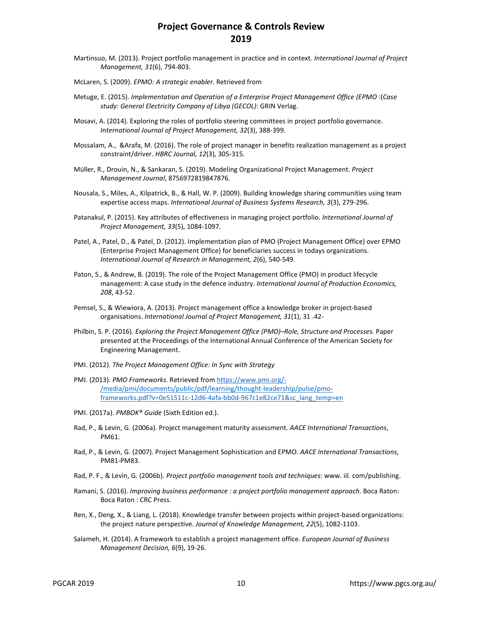- Martinsuo, M. (2013). Project portfolio management in practice and in context. *International Journal of Project Management, 31*(6), 794-803.
- McLaren, S. (2009). *EPMO: A strategic enabler*. Retrieved from
- Metuge, E. (2015). *Implementation and Operation of a Enterprise Project Management Office (EPMO* :(*Case study: General Electricity Company of Libya (GECOL)*: GRIN Verlag.
- Mosavi, A. (2014). Exploring the roles of portfolio steering committees in project portfolio governance. *International Journal of Project Management, 32*(3), 388-399.
- Mossalam, A., &Arafa, M. (2016). The role of project manager in benefits realization management as a project constraint/driver. *HBRC Journal, 12*(3), 305-315.
- Müller, R., Drouin, N., & Sankaran, S. (2019). Modeling Organizational Project Management. *Project Management Journal*, 8756972819847876.
- Nousala, S., Miles, A., Kilpatrick, B., & Hall, W. P. (2009). Building knowledge sharing communities using team expertise access maps. *International Journal of Business Systems Research, 3*(3), 279-296.
- Patanakul, P. (2015). Key attributes of effectiveness in managing project portfolio. *International Journal of Project Management, 33*(5), 1084-1097.
- Patel, A., Patel, D., & Patel, D. (2012). Implementation plan of PMO (Project Management Office) over EPMO (Enterprise Project Management Office) for beneficiaries success in todays organizations. *International Journal of Research in Management, 2*(6), 540-549.
- Paton, S., & Andrew, B. (2019). The role of the Project Management Office (PMO) in product lifecycle management: A case study in the defence industry. *International Journal of Production Economics, 208*, 43-52.
- Pemsel, S., & Wiewiora, A. (2013). Project management office a knowledge broker in project-based organisations. *International Journal of Project Management, 31*(1), 31 -42 .
- Philbin, S. P. (2016). *Exploring the Project Management Office (PMO)–Role, Structure and Processes.* Paper presented at the Proceedings of the International Annual Conference of the American Society for Engineering Management.
- PMI. (2012). *The Project Management Office: In Sync with Strategy*
- PMI. (2013). *PMO Frameworks*. Retrieved from https://www.pmi.org/- /media/pmi/documents/public/pdf/learning/thought-leadership/pulse/pmoframeworks.pdf?v=0e51511c-12d6-4afa-bb0d-967c1e82ce71&sc\_lang\_temp=en
- PMI. (2017a). *PMBOK® Guide* (Sixth Edition ed.).
- Rad, P., & Levin, G. (2006a). Project management maturity assessment. *AACE International Transactions*, PM61.
- Rad, P., & Levin, G. (2007). Project Management Sophistication and EPMO. *AACE International Transactions*, PM81-PM83.
- Rad, P. F., & Levin, G. (2006b). *Project portfolio management tools and techniques*: www. iil. com/publishing.
- Ramani, S. (2016). *Improving business performance : a project portfolio management approach*. Boca Raton: Boca Raton : CRC Press.
- Ren, X., Deng, X., & Liang, L. (2018). Knowledge transfer between projects within project-based organizations: the project nature perspective. *Journal of Knowledge Management, 22*(5), 1082-1103.
- Salameh, H. (2014). A framework to establish a project management office. *European Journal of Business Management Decision, 6*(9), 19-26.